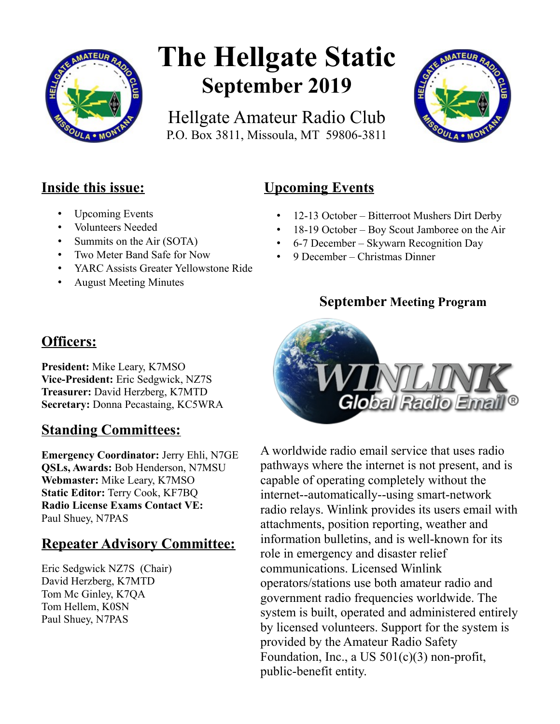

# **The Hellgate Static September 2019**

Hellgate Amateur Radio Club P.O. Box 3811, Missoula, MT 59806-3811



## **Inside this issue:**

- Upcoming Events
- Volunteers Needed
- Summits on the Air (SOTA)
- Two Meter Band Safe for Now
- YARC Assists Greater Yellowstone Ride
- August Meeting Minutes

## **Upcoming Events**

- 12-13 October Bitterroot Mushers Dirt Derby
- 18-19 October Boy Scout Jamboree on the Air
- 6-7 December Skywarn Recognition Day
- 9 December Christmas Dinner

### **September Meeting Program**



**President:** Mike Leary, K7MSO **Vice-President:** Eric Sedgwick, NZ7S **Treasurer:** David Herzberg, K7MTD **Secretary:** Donna Pecastaing, KC5WRA

## **Standing Committees:**

**Emergency Coordinator:** Jerry Ehli, N7GE **QSLs, Awards:** Bob Henderson, N7MSU **Webmaster:** Mike Leary, K7MSO **Static Editor:** Terry Cook, KF7BQ **Radio License Exams Contact VE:** Paul Shuey, N7PAS

## **Repeater Advisory Committee:**

Eric Sedgwick NZ7S (Chair) David Herzberg, K7MTD Tom Mc Ginley, K7QA Tom Hellem, K0SN Paul Shuey, N7PAS



A worldwide radio email service that uses radio pathways where the internet is not present, and is capable of operating completely without the internet--automatically--using smart-network radio relays. Winlink provides its users email with attachments, position reporting, weather and information bulletins, and is well-known for its role in emergency and disaster relief communications. Licensed Winlink operators/stations use both amateur radio and government radio frequencies worldwide. The system is built, operated and administered entirely by licensed volunteers. Support for the system is provided by the Amateur Radio Safety Foundation, Inc., a US 501(c)(3) non-profit, public-benefit entity.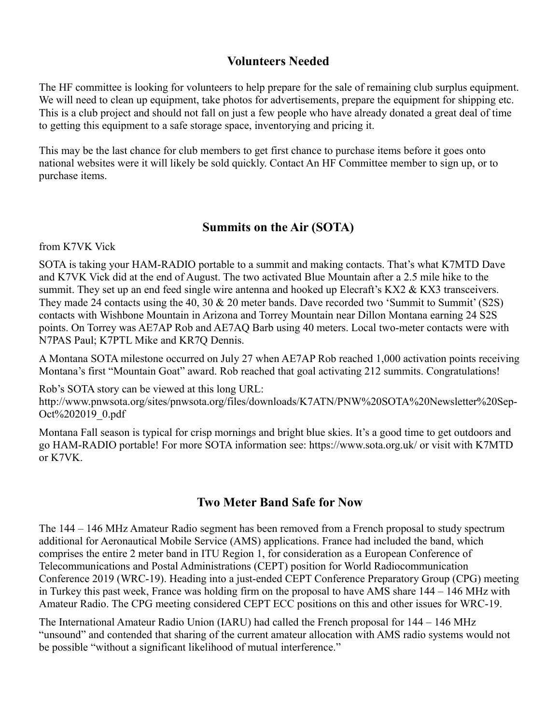#### **Volunteers Needed**

The HF committee is looking for volunteers to help prepare for the sale of remaining club surplus equipment. We will need to clean up equipment, take photos for advertisements, prepare the equipment for shipping etc. This is a club project and should not fall on just a few people who have already donated a great deal of time to getting this equipment to a safe storage space, inventorying and pricing it.

This may be the last chance for club members to get first chance to purchase items before it goes onto national websites were it will likely be sold quickly. Contact An HF Committee member to sign up, or to purchase items.

#### **Summits on the Air (SOTA)**

from K7VK Vick

SOTA is taking your HAM-RADIO portable to a summit and making contacts. That's what K7MTD Dave and K7VK Vick did at the end of August. The two activated Blue Mountain after a 2.5 mile hike to the summit. They set up an end feed single wire antenna and hooked up Elecraft's  $KX2 \& KX3$  transceivers. They made 24 contacts using the 40, 30 & 20 meter bands. Dave recorded two 'Summit to Summit' (S2S) contacts with Wishbone Mountain in Arizona and Torrey Mountain near Dillon Montana earning 24 S2S points. On Torrey was AE7AP Rob and AE7AQ Barb using 40 meters. Local two-meter contacts were with N7PAS Paul; K7PTL Mike and KR7Q Dennis.

A Montana SOTA milestone occurred on July 27 when AE7AP Rob reached 1,000 activation points receiving Montana's first "Mountain Goat" award. Rob reached that goal activating 212 summits. Congratulations!

Rob's SOTA story can be viewed at this long URL: http://www.pnwsota.org/sites/pnwsota.org/files/downloads/K7ATN/PNW%20SOTA%20Newsletter%20Sep-Oct%202019\_0.pdf

Montana Fall season is typical for crisp mornings and bright blue skies. It's a good time to get outdoors and go HAM-RADIO portable! For more SOTA information see: https://www.sota.org.uk/ or visit with K7MTD or K7VK.

#### **Two Meter Band Safe for Now**

The 144 – 146 MHz Amateur Radio segment has been removed from a French proposal to study spectrum additional for Aeronautical Mobile Service (AMS) applications. France had included the band, which comprises the entire 2 meter band in ITU Region 1, for consideration as a European Conference of Telecommunications and Postal Administrations (CEPT) position for World Radiocommunication Conference 2019 (WRC-19). Heading into a just-ended CEPT Conference Preparatory Group (CPG) meeting in Turkey this past week, France was holding firm on the proposal to have AMS share 144 – 146 MHz with Amateur Radio. The CPG meeting considered CEPT ECC positions on this and other issues for WRC-19.

The International Amateur Radio Union (IARU) had called the French proposal for 144 – 146 MHz "unsound" and contended that sharing of the current amateur allocation with AMS radio systems would not be possible "without a significant likelihood of mutual interference."